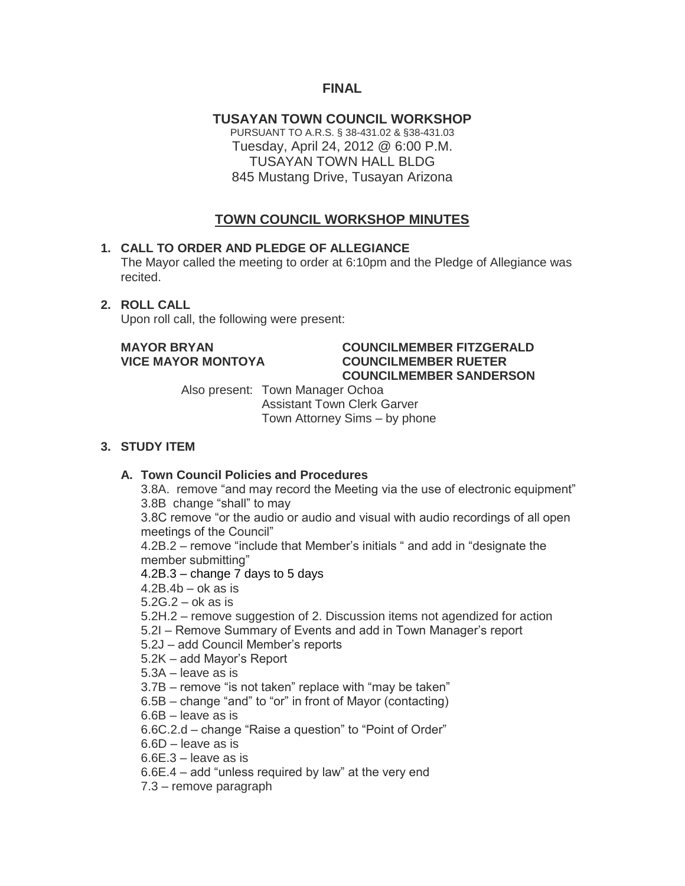## **FINAL**

**TUSAYAN TOWN COUNCIL WORKSHOP** PURSUANT TO A.R.S. § 38-431.02 & §38-431.03 Tuesday, April 24, 2012 @ 6:00 P.M. TUSAYAN TOWN HALL BLDG 845 Mustang Drive, Tusayan Arizona

# **TOWN COUNCIL WORKSHOP MINUTES**

### **1. CALL TO ORDER AND PLEDGE OF ALLEGIANCE**

The Mayor called the meeting to order at 6:10pm and the Pledge of Allegiance was recited.

### **2. ROLL CALL**

Upon roll call, the following were present:

### **MAYOR BRYAN COUNCILMEMBER FITZGERALD VICE MAYOR MONTOYA COUNCILMEMBER RUETER COUNCILMEMBER SANDERSON**

Also present: Town Manager Ochoa Assistant Town Clerk Garver Town Attorney Sims – by phone

## **3. STUDY ITEM**

## **A. Town Council Policies and Procedures** 3.8A. remove "and may record the Meeting via the use of electronic equipment" 3.8B change "shall" to may 3.8C remove "or the audio or audio and visual with audio recordings of all open meetings of the Council" 4.2B.2 – remove "include that Member's initials " and add in "designate the member submitting" 4.2B.3 – change 7 days to 5 days  $4.2B.4b - ok$  as is 5.2G.2 – ok as is 5.2H.2 – remove suggestion of 2. Discussion items not agendized for action 5.2I – Remove Summary of Events and add in Town Manager's report 5.2J – add Council Member's reports 5.2K – add Mayor's Report 5.3A – leave as is 3.7B – remove "is not taken" replace with "may be taken" 6.5B – change "and" to "or" in front of Mayor (contacting) 6.6B – leave as is 6.6C.2.d – change "Raise a question" to "Point of Order" 6.6D – leave as is 6.6E.3 – leave as is 6.6E.4 – add "unless required by law" at the very end 7.3 – remove paragraph